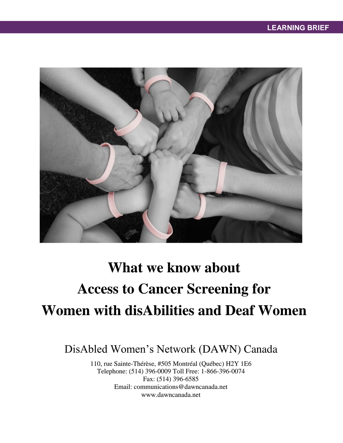

# **What we know about Access to Cancer Screening for Women with disAbilities and Deaf Women**

DisAbled Women's Network (DAWN) Canada

110, rue Sainte-Thérèse, #505 Montréal (Québec) H2Y 1E6 Telephone: (514) 396-0009 Toll Free: 1-866-396-0074 Fax: (514) 396-6585 Email: communications@dawncanada.net www.dawncanada.net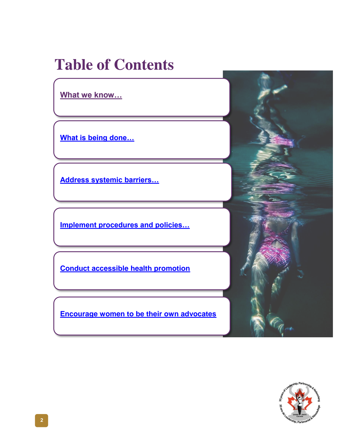## **Table of Contents**

**[What we know…](#page-2-0)**

**[What is being done…](#page-4-0)**

**[Address systemic barriers…](#page-5-0)**

**[Implement procedures and policies…](#page-6-0)**

**[Conduct accessible health promotion](#page-8-0)**

**[Encourage women to be their own advocates](#page-9-0)**

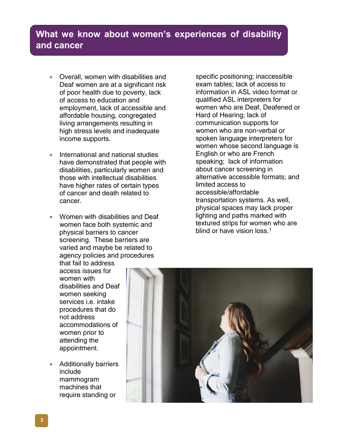## <span id="page-2-0"></span>**What we know about women's experiences of disability and cancer**

- Overall, women with disabilities and Deaf women are at a significant risk of poor health due to poverty, lack of access to education and employment, lack of accessible and affordable housing, congregated living arrangements resulting in high stress levels and inadequate income supports.
- International and national studies have demonstrated that people with disabilities, particularly women and those with intellectual disabilities have higher rates of certain types of cancer and death related to cancer.
- Women with disabilities and Deaf women face both systemic and physical barriers to cancer screening. These barriers are varied and maybe be related to agency policies and procedures

specific positioning; inaccessible exam tables; lack of access to information in ASL video format or qualified ASL interpreters for women who are Deaf, Deafened or Hard of Hearing; lack of communication supports for women who are non-verbal or spoken language interpreters for women whose second language is English or who are French speaking; lack of information about cancer screening in alternative accessible formats; and limited access to accessible/affordable transportation systems. As well, physical spaces may lack proper lighting and paths marked with textured strips for women who are blind or have vision loss.<sup>1</sup>

that fail to address access issues for women with disabilities and Deaf women seeking services i.e. intake procedures that do not address accommodations of women prior to attending the appointment.

 Additionally barriers include mammogram machines that require standing or

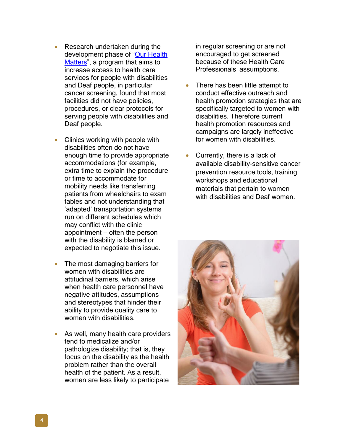- Research undertaken during the development phase of "Our Health [Matters"](http://www.dawncanada.net/projects/projects/our-health-matters-2/), a program that aims to increase access to health care services for people with disabilities and Deaf people, in particular cancer screening, found that most facilities did not have policies, procedures, or clear protocols for serving people with disabilities and Deaf people.
- Clinics working with people with disabilities often do not have enough time to provide appropriate accommodations (for example, extra time to explain the procedure or time to accommodate for mobility needs like transferring patients from wheelchairs to exam tables and not understanding that 'adapted' transportation systems run on different schedules which may conflict with the clinic appointment – often the person with the disability is blamed or expected to negotiate this issue.
- The most damaging barriers for women with disabilities are attitudinal barriers, which arise when health care personnel have negative attitudes, assumptions and stereotypes that hinder their ability to provide quality care to women with disabilities.
- As well, many health care providers tend to medicalize and/or pathologize disability; that is, they focus on the disability as the health problem rather than the overall health of the patient. As a result, women are less likely to participate

in regular screening or are not encouraged to get screened because of these Health Care Professionals' assumptions.

- There has been little attempt to conduct effective outreach and health promotion strategies that are specifically targeted to women with disabilities. Therefore current health promotion resources and campaigns are largely ineffective for women with disabilities.
- Currently, there is a lack of available disability-sensitive cancer prevention resource tools, training workshops and educational materials that pertain to women with disabilities and Deaf women.

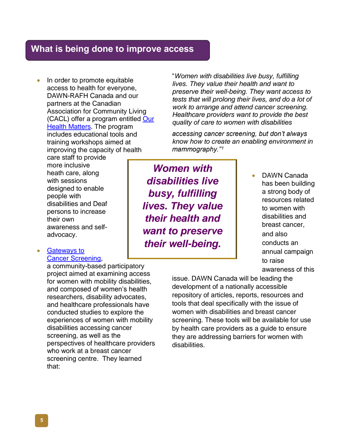## <span id="page-4-0"></span>**What is being done to improve access**

 In order to promote equitable access to health for everyone, DAWN-RAFH Canada and our partners at the Canadian Association for Community Living (CACL) offer a program entitled [Our](http://www.dawncanada.net/projects/projects/our-health-matters-2/)  [Health Matters.](http://www.dawncanada.net/projects/projects/our-health-matters-2/) The program includes educational tools and training workshops aimed at improving the capacity of health

care staff to provide more inclusive heath care, along with sessions designed to enable people with disabilities and Deaf persons to increase their own awareness and selfadvocacy.

#### [Gateways to](http://www.cilt.ca/Gateway_project.aspx)  [Cancer Screening,](http://www.cilt.ca/Gateway_project.aspx)

a community-based participatory project aimed at examining access for women with mobility disabilities, and composed of women's health researchers, disability advocates, and healthcare professionals have conducted studies to explore the experiences of women with mobility disabilities accessing cancer screening, as well as the perspectives of healthcare providers who work at a breast cancer screening centre. They learned that:

"*Women with disabilities live busy, fulfilling lives. They value their health and want to preserve their well-being. They want access to tests that will prolong their lives, and do a lot of work to arrange and attend cancer screening. Healthcare providers want to provide the best quality of care to women with disabilities* 

*accessing cancer screening, but don't always know how to create an enabling environment in mammography."<sup>1</sup>*

*Women with disabilities live busy, fulfilling lives. They value their health and want to preserve their well-being.*

 DAWN Canada has been building a strong body of resources related to women with disabilities and breast cancer, and also conducts an annual campaign to raise awareness of this

issue. DAWN Canada will be leading the development of a nationally accessible repository of articles, reports, resources and tools that deal specifically with the issue of women with disabilities and breast cancer screening. These tools will be available for use by health care providers as a guide to ensure they are addressing barriers for women with disabilities.

**5**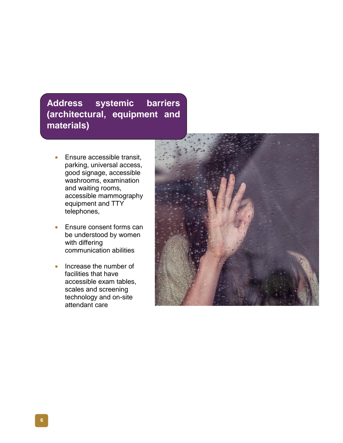## <span id="page-5-0"></span>**Address systemic barriers (architectural, equipment and materials)**

- **Ensure accessible transit,** parking, universal access, good signage, accessible washrooms, examination and waiting rooms, accessible mammography equipment and TTY telephones,
- Ensure consent forms can be understood by women with differing communication abilities
- Increase the number of facilities that have accessible exam tables, scales and screening technology and on-site attendant care

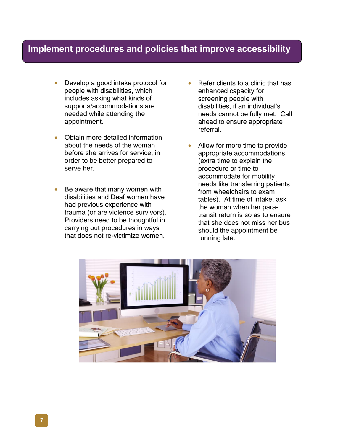## <span id="page-6-0"></span>**Implement procedures and policies that improve accessibility**

- Develop a good intake protocol for people with disabilities, which includes asking what kinds of supports/accommodations are needed while attending the appointment.
- Obtain more detailed information about the needs of the woman before she arrives for service, in order to be better prepared to serve her.
- Be aware that many women with disabilities and Deaf women have had previous experience with trauma (or are violence survivors). Providers need to be thoughtful in carrying out procedures in ways that does not re-victimize women.
- Refer clients to a clinic that has enhanced capacity for screening people with disabilities, if an individual's needs cannot be fully met. Call ahead to ensure appropriate referral.
- Allow for more time to provide appropriate accommodations (extra time to explain the procedure or time to accommodate for mobility needs like transferring patients from wheelchairs to exam tables). At time of intake, ask the woman when her paratransit return is so as to ensure that she does not miss her bus should the appointment be running late.

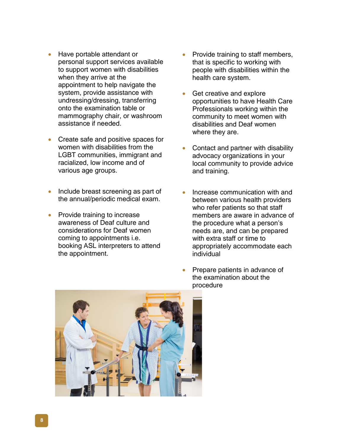- Have portable attendant or personal support services available to support women with disabilities when they arrive at the appointment to help navigate the system, provide assistance with undressing/dressing, transferring onto the examination table or mammography chair, or washroom assistance if needed.
- Create safe and positive spaces for women with disabilities from the LGBT communities, immigrant and racialized, low income and of various age groups.
- Include breast screening as part of the annual/periodic medical exam.
- Provide training to increase awareness of Deaf culture and considerations for Deaf women coming to appointments i.e. booking ASL interpreters to attend the appointment.
- Provide training to staff members, that is specific to working with people with disabilities within the health care system.
- Get creative and explore opportunities to have Health Care Professionals working within the community to meet women with disabilities and Deaf women where they are.
- Contact and partner with disability advocacy organizations in your local community to provide advice and training.
- Increase communication with and between various health providers who refer patients so that staff members are aware in advance of the procedure what a person's needs are, and can be prepared with extra staff or time to appropriately accommodate each individual
- Prepare patients in advance of the examination about the procedure

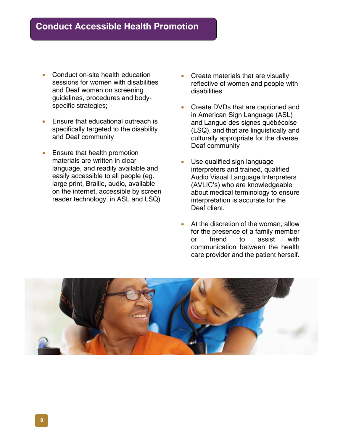- <span id="page-8-0"></span> Conduct on-site health education sessions for women with disabilities and Deaf women on screening guidelines, procedures and bodyspecific strategies;
- **Ensure that educational outreach is** specifically targeted to the disability and Deaf community
- Ensure that health promotion materials are written in clear language, and readily available and easily accessible to all people (eg. large print, Braille, audio, available on the internet, accessible by screen reader technology, in ASL and LSQ)
- Create materials that are visually reflective of women and people with disabilities
- Create DVDs that are captioned and in American Sign Language (ASL) and Langue des signes québécoise (LSQ), and that are linguistically and culturally appropriate for the diverse Deaf community
- Use qualified sign language interpreters and trained, qualified Audio Visual Language Interpreters (AVLIC's) who are knowledgeable about medical terminology to ensure interpretation is accurate for the Deaf client.
- At the discretion of the woman, allow for the presence of a family member or friend to assist with communication between the health care provider and the patient herself.